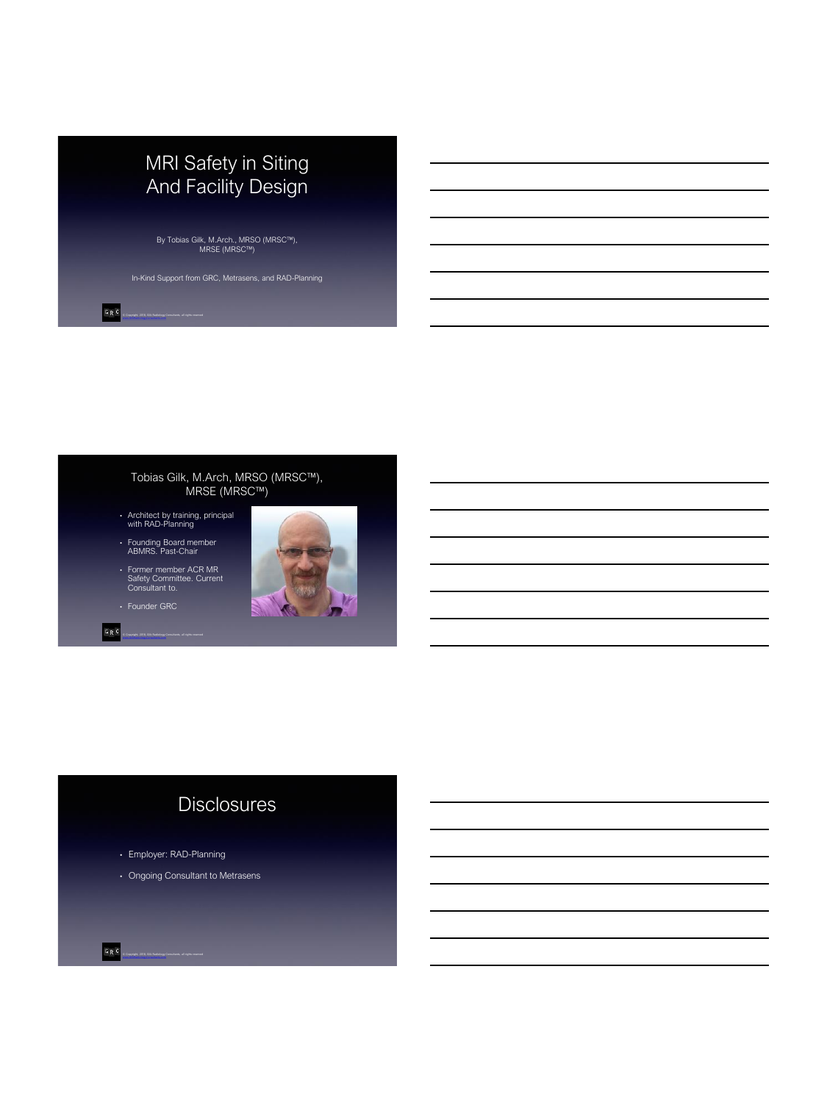

By Tobias Gilk, M.Arch., MRSO (MRSC™), MRSE (MRSC™)

### Tobias Gilk, M.Arch, MRSO (MRSC™), MRSE (MRSC™)

- Architect by training, principal with RAD-Planning
- Founding Board member ABMRS. Past-Chair
- Former member ACR MR Safety Committee. Current Consultant to.
- Founder GRC
- GRC © Copyright, 2018, Gilk Radiology Consultants, all rights reserved

 $G \mathrel{\mathop{\mathsf{R}}\nolimits} G$ 



# **Disclosures**

- Employer: RAD-Planning
- Ongoing Consultant to Metrasens

 $G \mathrel{\mathbb{R}} C$ © Copyright, 2018, Gilk Radiology Consultants, all rights reserved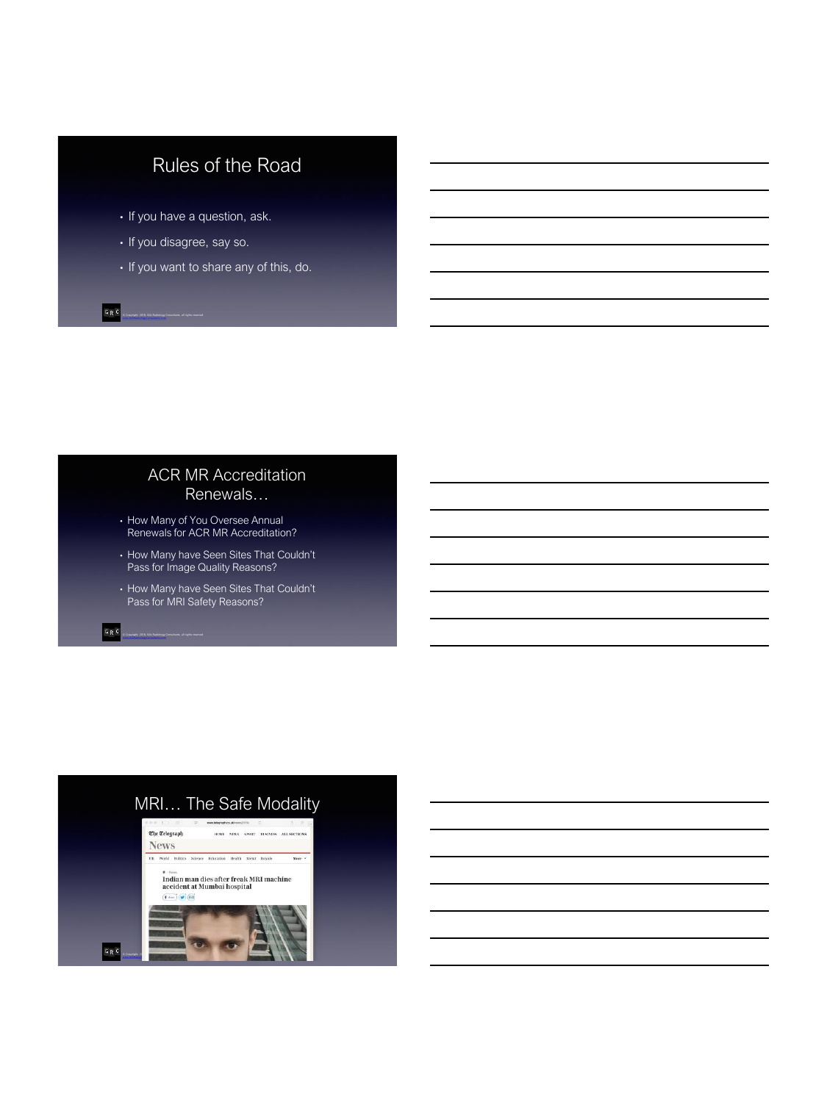# Rules of the Road

- If you have a question, ask.
- If you disagree, say so.
- If you want to share any of this, do.

## ACR MR Accreditation Renewals…

- How Many of You Oversee Annual Renewals for ACR MR Accreditation?
- How Many have Seen Sites That Couldn't Pass for Image Quality Reasons?
- How Many have Seen Sites That Couldn't Pass for MRI Safety Reasons?

 $G \mathrel{\mathop{\mathsf{R}}\nolimits} G$ © Copyright, 2018, Gilk Radiology Consultants, all rights reserved

GRC

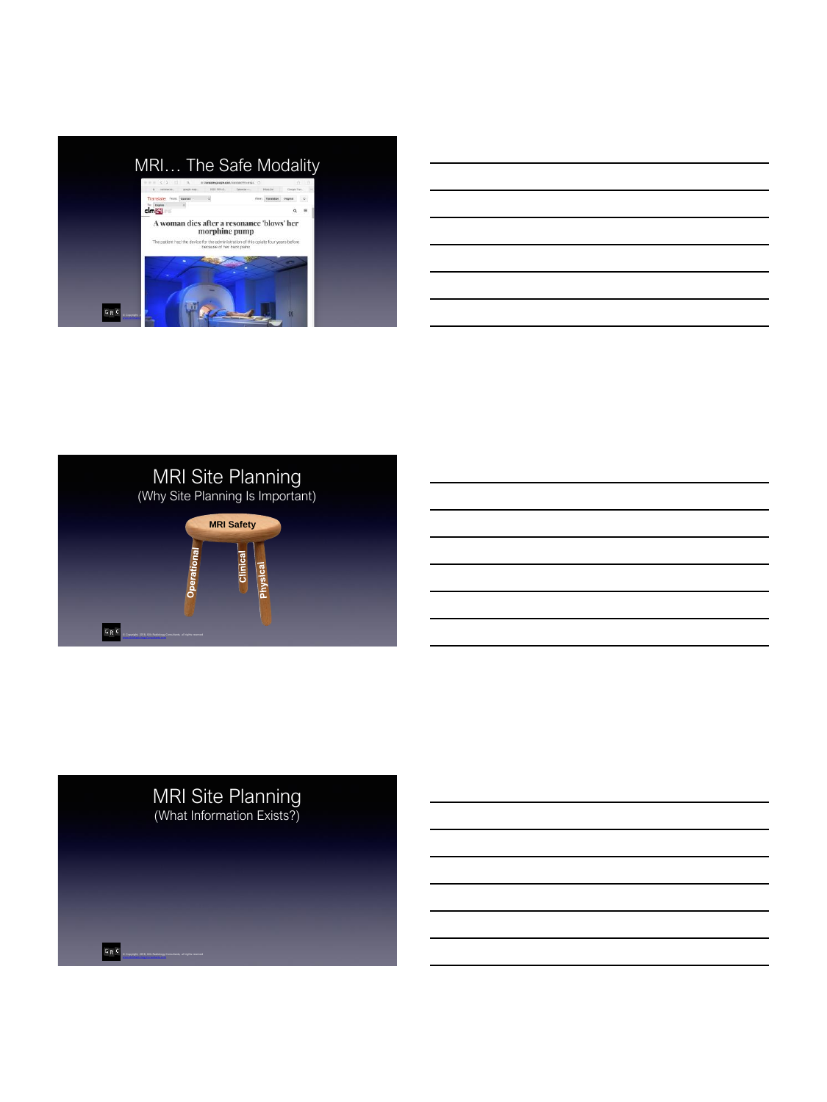

| the contract of the contract of the contract of the contract of the contract of the contract of the contract of        |  |  |
|------------------------------------------------------------------------------------------------------------------------|--|--|
| <u> 1989 - Andrea Andrew Maria (h. 1989).</u>                                                                          |  |  |
| <u> 1989 - Johann Stoff, deutscher Stoffen und der Stoffen und der Stoffen und der Stoffen und der Stoffen und der</u> |  |  |
| <u> 1989 - Johann Barn, mars ann an t-Amhainn an t-Amhainn an t-Amhainn an t-Amhainn an t-Amhainn an t-Amhainn an </u> |  |  |
| the contract of the contract of the contract of                                                                        |  |  |
|                                                                                                                        |  |  |



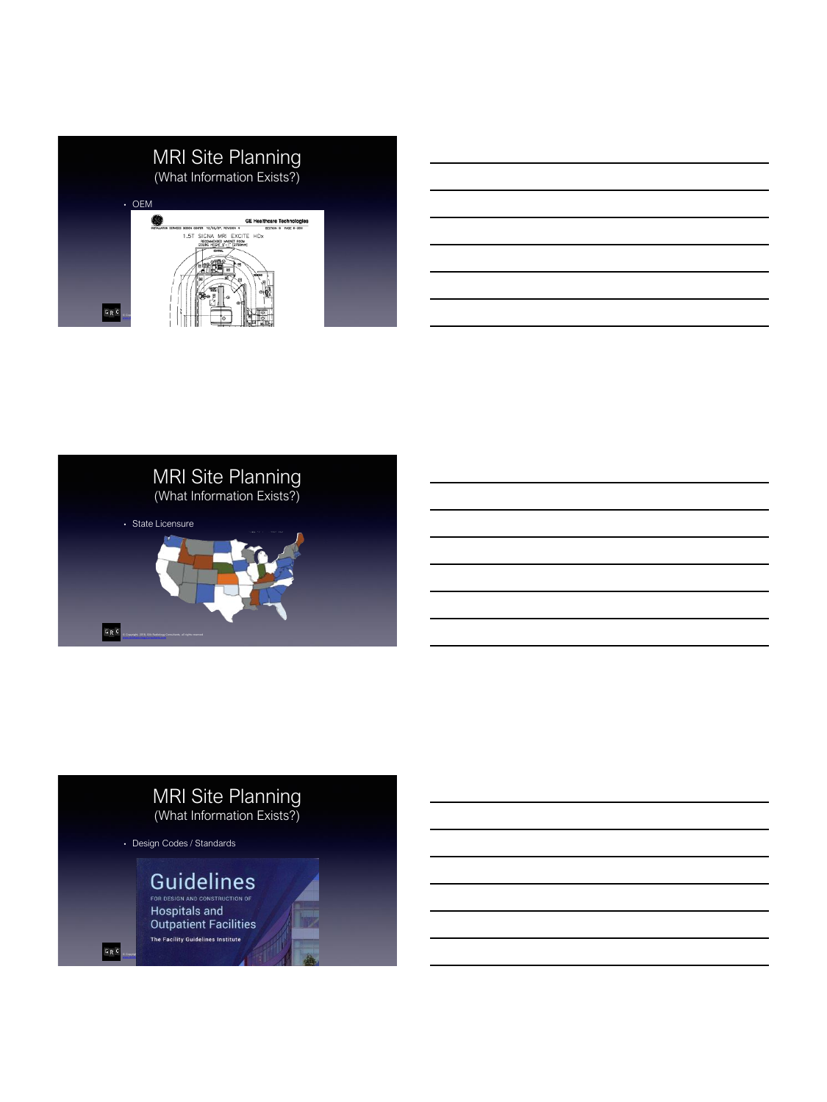



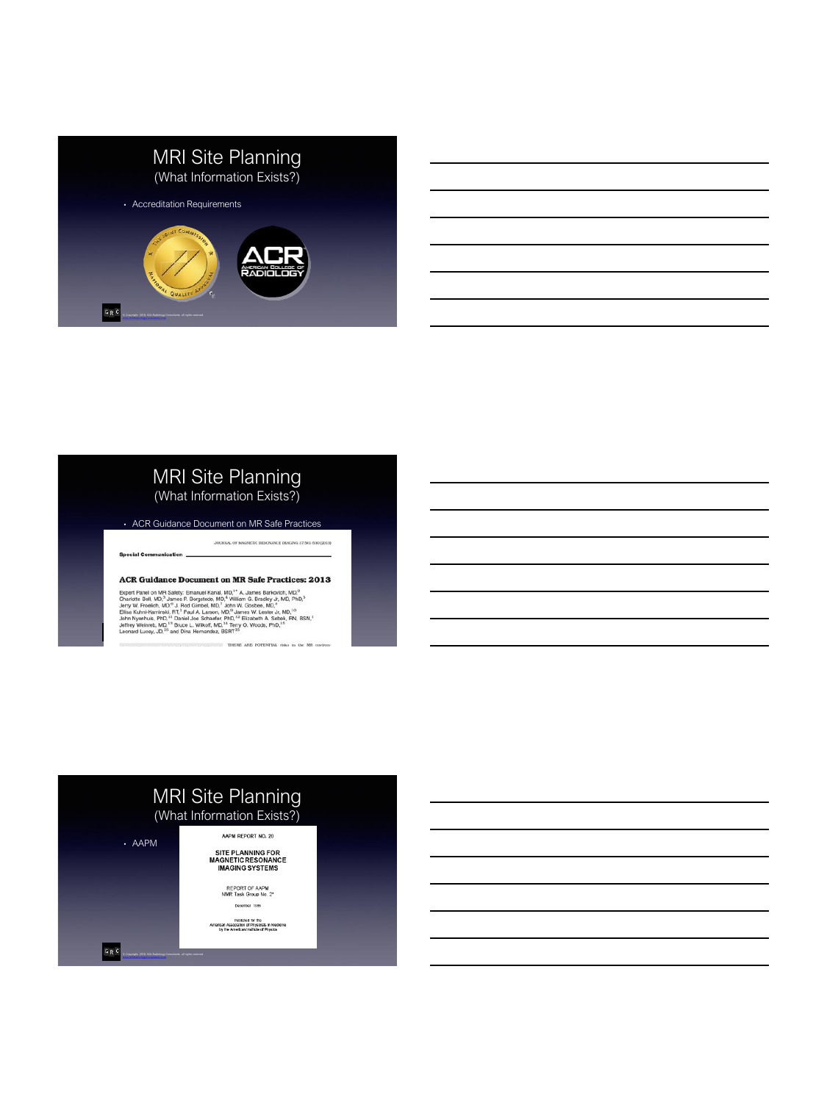

## MRI Site Planning (What Information Exists?)

• ACR Guidance Document on MR Safe Practices

**Special Communication** 

#### **ACR Guidance Document on MR Safe Practices: 2013**

THERE ARE POTENTIAL risks in the MR environ

JOURNAL OF MACNETIC RESONANCE BAACING 37:501-530 (2013)

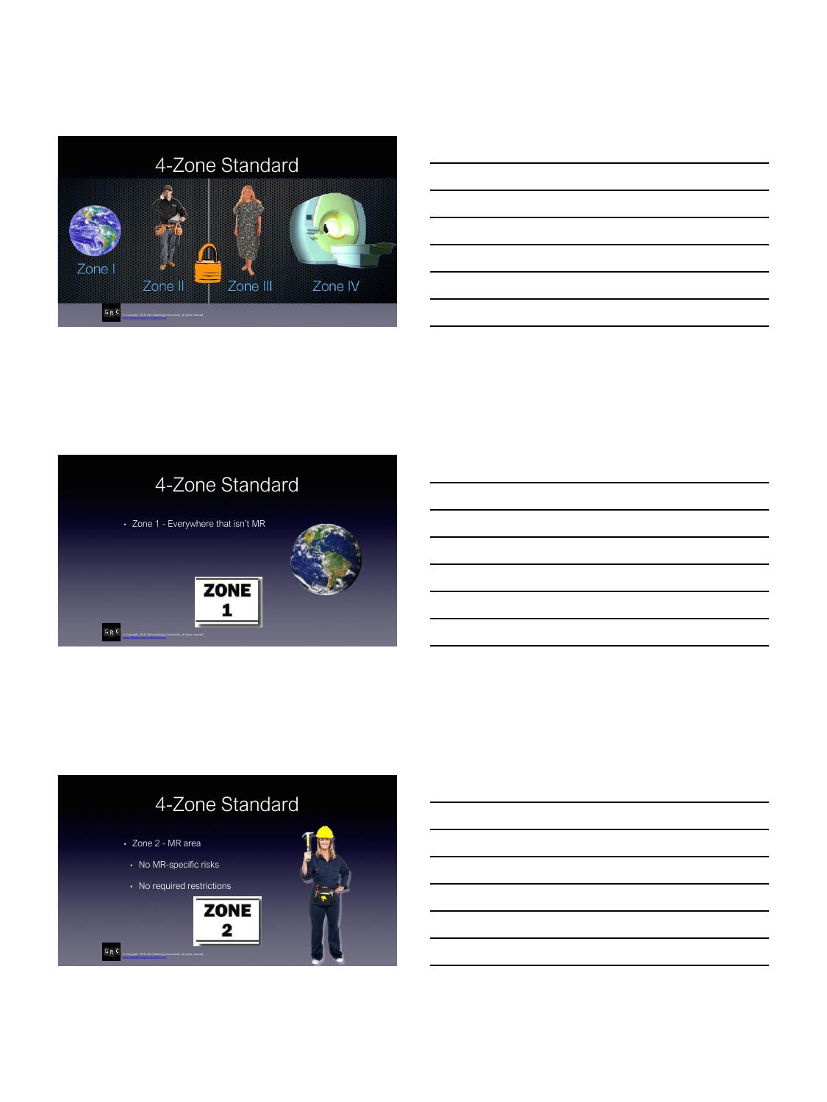



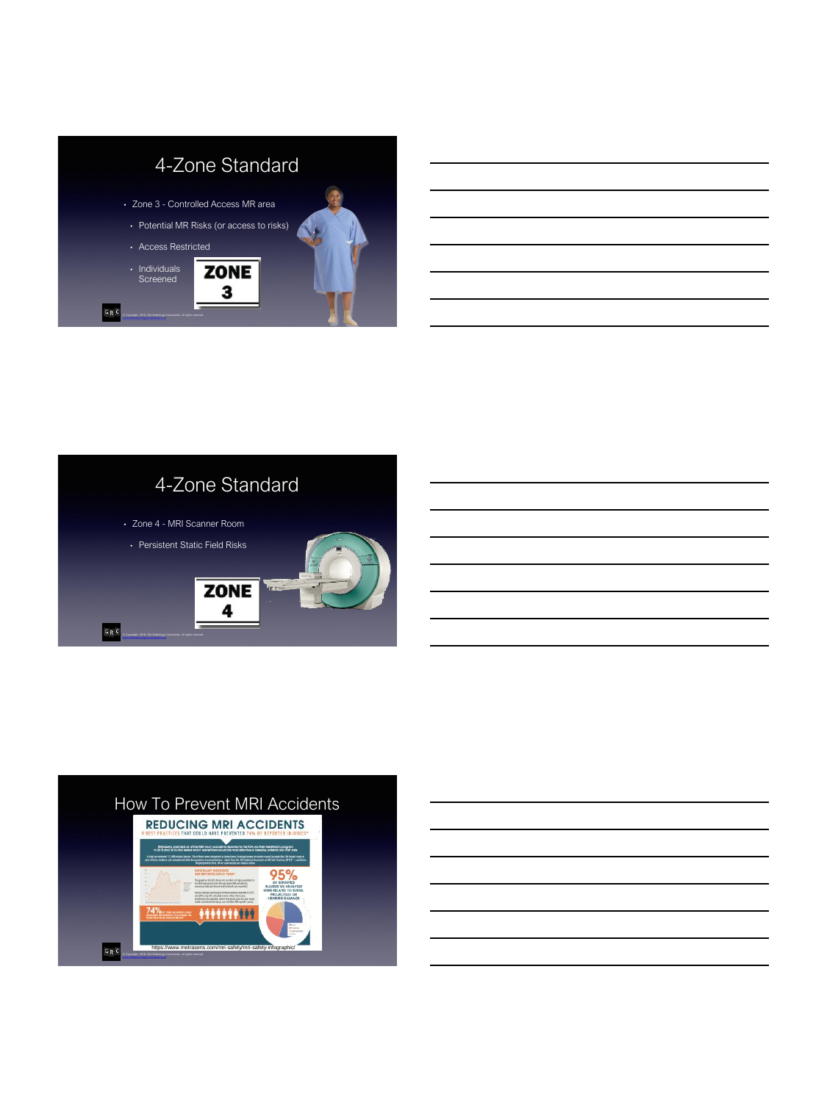



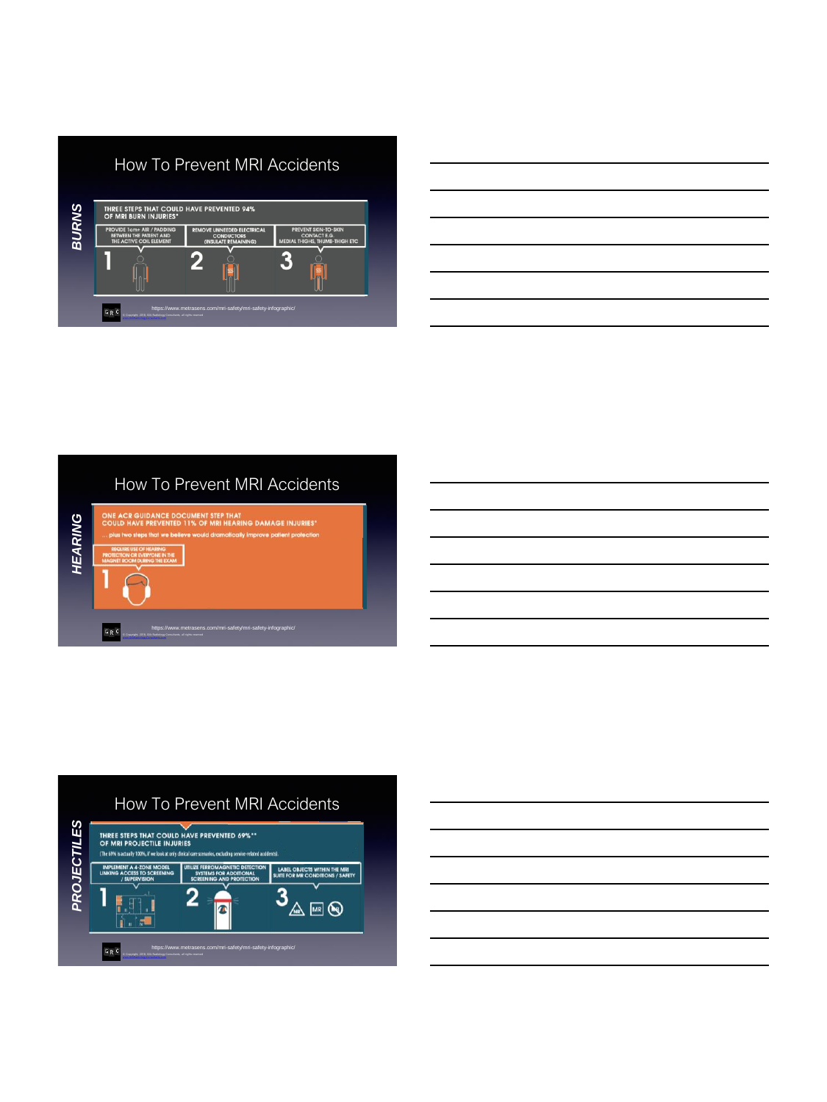|              | <b>How To Prevent MRI Accidents</b>                                                     |                                                                                |                                                                                             |  |  |  |  |  |
|--------------|-----------------------------------------------------------------------------------------|--------------------------------------------------------------------------------|---------------------------------------------------------------------------------------------|--|--|--|--|--|
|              | THREE STEPS THAT COULD HAVE PREVENTED 94%<br>OF MRI BURN INJURIES*                      |                                                                                |                                                                                             |  |  |  |  |  |
| <b>BURNS</b> | <b>PROVIDE 1cm+ AIR / PADDING</b><br>BETWEEN THE PATIENT AND<br>THE ACTIVE COIL ELEMENT | <b>REMOVE UNNEEDED ELECTRICAL</b><br><b>CONDUCTORS</b><br>(INSULATE REMAINING) | <b>PREVENT SKIN-TO-SKIN</b><br><b>CONTACT E.G.</b><br><b>MEDIAL THIGHS, THUMB-THIGH ETC</b> |  |  |  |  |  |
|              |                                                                                         |                                                                                |                                                                                             |  |  |  |  |  |
|              | $G \rvert R$ $C$<br>C Copyright, 2018. Gik Radiology Consultants, all rights reserved   | https://www.metrasens.com/mri-safety/mri-safety-infographic/                   |                                                                                             |  |  |  |  |  |

|                                              | <u> 1989 - Johann Stoff, deutscher Stoff, der Stoff, der Stoff, der Stoff, der Stoff, der Stoff, der Stoff, der S</u>  |  |  |
|----------------------------------------------|------------------------------------------------------------------------------------------------------------------------|--|--|
|                                              | <u> 1989 - Johann Stoff, deutscher Stoffen und der Stoffen und der Stoffen und der Stoffen und der Stoffen und de</u>  |  |  |
|                                              | <u> 1989 - Johann Barn, mars ann an t-Amhain ann an t-Amhain ann an t-Amhain ann an t-Amhain an t-Amhain ann an t-</u> |  |  |
|                                              | <u> 1989 - Johann Stoff, amerikansk politiker (d. 1989)</u>                                                            |  |  |
| the control of the control of the control of |                                                                                                                        |  |  |
|                                              |                                                                                                                        |  |  |





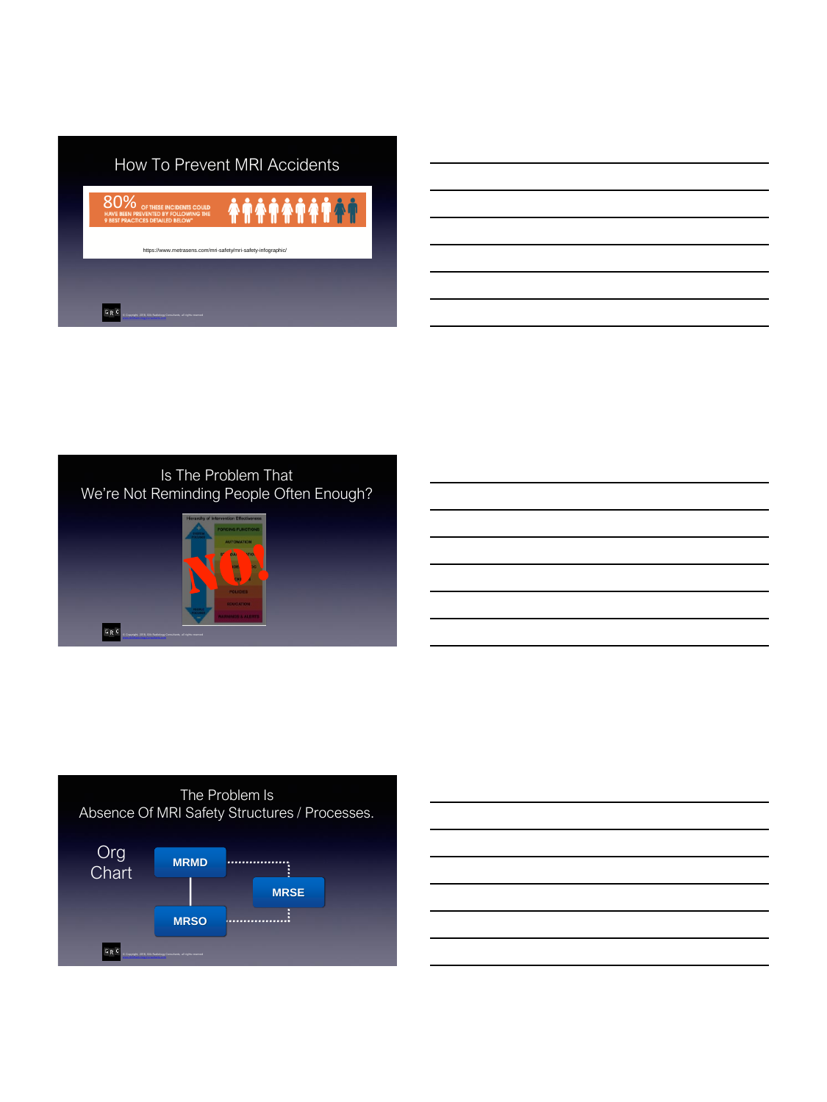

# Is The Problem That We're Not Reminding People Often Enough?



 $G_R C$